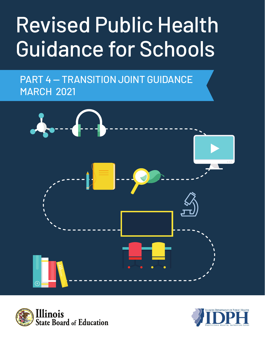# Revised Public Health Guidance for Schools

PART 4 — TRANSITION JOINT GUIDANCE **MARCH 2021** 





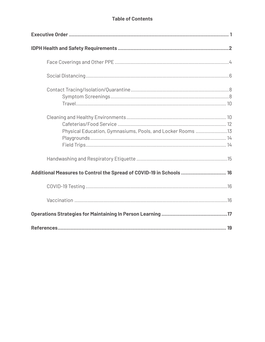# **Table of Contents**

| Physical Education, Gymnasiums, Pools, and Locker Rooms 13           |  |
|----------------------------------------------------------------------|--|
|                                                                      |  |
| Additional Measures to Control the Spread of COVID-19 in Schools  16 |  |
|                                                                      |  |
|                                                                      |  |
|                                                                      |  |
|                                                                      |  |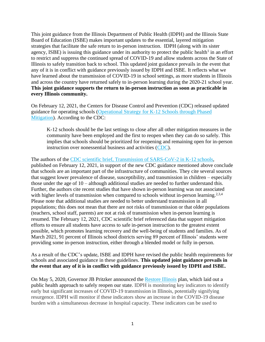<span id="page-2-0"></span>This joint guidance from the Illinois Department of Public Health (IDPH) and the Illinois State Board of Education (ISBE) makes important updates to the essential, layered mitigation strategies that facilitate the safe return to in-person instruction. IDPH (along with its sister agency, ISBE) is issuing this guidance under its authority to protect the public health<sup>1</sup> in an effort to restrict and suppress the continued spread of COVID-19 and allow students across the State of Illinois to safely transition back to school. This updated joint guidance prevails in the event that any of it is in conflict with guidance previously issued by IDPH and ISBE. It reflects what we have learned about the transmission of COVID-19 in school settings, as more students in Illinois and across the country have returned safely to in-person learning during the 2020-21 school year. **This joint guidance supports the return to in-person instruction as soon as practicable in every Illinois community.**

On February 12, 2021, the Centers for Disease Control and Prevention (CDC) released updated guidance for operating schools [\(Operational Strategy for K-12 Schools through Phased](https://www.cdc.gov/coronavirus/2019-ncov/community/schools-childcare/operation-strategy.html)  [Mitigation\)](https://www.cdc.gov/coronavirus/2019-ncov/community/schools-childcare/operation-strategy.html). According to the CDC:

K-12 schools should be the last settings to close after all other mitigation measures in the community have been employed and the first to reopen when they can do so safely. This implies that schools should be prioritized for reopening and remaining open for in-person instruction over nonessential business and activities [\(CDC\)](https://www.cdc.gov/coronavirus/2019-ncov/community/schools-childcare/operation-strategy.html).

The authors of the CDC scientific brief, [Transmission of SARS-CoV-2 in K-12 schools,](https://www.cdc.gov/coronavirus/2019-ncov/more/science-and-research/transmission_k_12_schools.html#:~:text=The%20evidence%20to%20date%20suggests,among%20adults%20in%20school%20settings.) published on February 12, 2021, in support of the new CDC guidance mentioned above conclude that schools are an important part of the infrastructure of communities. They cite several sources that suggest lower prevalence of disease, susceptibility, and transmission in children – especially those under the age of 10 – although additional studies are needed to further understand this. Further, the authors cite recent studies that have shown in-person learning was not associated with higher levels of transmission when compared to schools without in-person learning.<sup>2,3,4</sup> Please note that additional studies are needed to better understand transmission in all populations; this does not mean that there are not risks of transmission or that older populations (teachers, school staff, parents) are not at risk of transmission when in-person learning is resumed. The February 12, 2021, CDC scientific brief referenced data that support mitigation efforts to ensure all students have access to safe in-person instruction to the greatest extent possible, which promotes learning recovery and the well-being of students and families. As of March 2021, 91 percent of Illinois school districts serving 89 percent of Illinois' students were providing some in-person instruction, either through a blended model or fully in-person.

As a result of the CDC's update, ISBE and IDPH have revised the public health requirements for schools and associated guidance in these guidelines. **This updated joint guidance prevails in the event that any of it is in conflict with guidance previously issued by IDPH and ISBE.**

On May 5, 2020, Governor JB Pritzker announced the [Restore Illinois](https://coronavirus.illinois.gov/sfc/servlet.shepherd/document/download/069t000000BadS0AAJ?operationContext=S1) plan, which laid out a public health approach to safely reopen our state. IDPH is monitoring key indicators to identify early but significant increases of COVID-19 transmission in Illinois, potentially signifying resurgence. IDPH will monitor if these indicators show an increase in the COVID-19 disease burden with a simultaneous decrease in hospital capacity. These indicators can be used to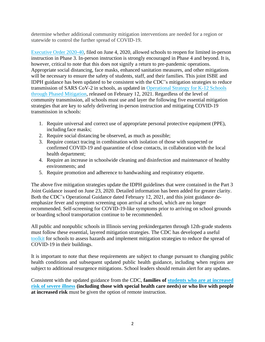<span id="page-3-0"></span>determine whether additional community mitigation interventions are needed for a region or statewide to control the further spread of COVID-19.

[Executive Order 2020-40,](https://www.isbe.net/Documents/EO2020-40.pdf) filed on June 4, 2020, allowed schools to reopen for limited in-person instruction in Phase 3. In-person instruction is strongly encouraged in Phase 4 and beyond. It is, however, critical to note that this does not signify a return to pre-pandemic operations. Appropriate social distancing, face masks, enhanced sanitation measures, and other mitigations will be necessary to ensure the safety of students, staff, and their families. This joint ISBE and IDPH guidance has been updated to be consistent with the CDC's mitigation strategies to reduce transmission of SARS CoV-2 in schools, as updated in [Operational Strategy for K-12 Schools](https://www.cdc.gov/coronavirus/2019-ncov/community/schools-childcare/operation-strategy.html) [through Phased Mitigation,](https://www.cdc.gov/coronavirus/2019-ncov/community/schools-childcare/operation-strategy.html) released on February 12, 2021. Regardless of the level of community transmission, all schools must use and layer the following five essential mitigation strategies that are key to safely delivering in-person instruction and mitigating COVID-19 transmission in schools:

- 1. Require universal and correct use of appropriate personal protective equipment (PPE), including face masks;
- 2. Require social distancing be observed, as much as possible;
- 3. Require contact tracing in combination with isolation of those with suspected or confirmed COVID-19 and quarantine of close contacts, in collaboration with the local health department;
- 4. Require an increase in schoolwide cleaning and disinfection and maintenance of healthy environments; and
- 5. Require promotion and adherence to handwashing and respiratory etiquette.

The above five mitigation strategies update the IDPH guidelines that were contained in the Part 3 Joint Guidance issued on June 23, 2020. Detailed information has been added for greater clarity. Both the CDC's Operational Guidance dated February 12, 2021, and this joint guidance deemphasize fever and symptom screening upon arrival at school, which are no longer recommended. Self-screening for COVID-19-like symptoms prior to arriving on school grounds or boarding school transportation continue to be recommended.

All public and nonpublic schools in Illinois serving prekindergarten through 12th-grade students must follow these essential, layered mitigation strategies. The CDC has developed a useful [toolkit](https://www.cdc.gov/coronavirus/2019-ncov/community/schools-childcare/k-12-mitigation-toolkit.html) for schools to assess hazards and implement mitigation strategies to reduce the spread of COVID-19 in their buildings.

It is important to note that these requirements are subject to change pursuant to changing public health conditions and subsequent updated public health guidance, including when regions are subject to additional resurgence mitigations. School leaders should remain alert for any updates.

Consistent with the updated guidance from the CDC, **families of [students who are at increased](https://www.cdc.gov/coronavirus/2019-ncov/need-extra-precautions/index.html)  [risk of severe illness](https://www.cdc.gov/coronavirus/2019-ncov/need-extra-precautions/index.html) (including those with special health care needs) or who live with people at increased risk** must be given the option of remote instruction.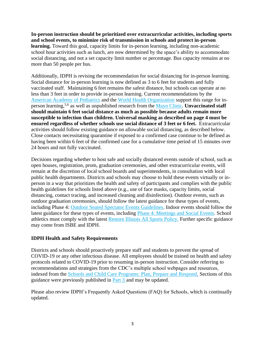**In-person instruction should be prioritized over extracurricular activities, including sports and school events, to minimize risk of transmission in schools and protect in-person learning.** Toward this goal, capacity limits for in-person learning, including non-academic school hour activities such as lunch, are now determined by the space's ability to accommodate social distancing, and not a set capacity limit number or percentage. Bus capacity remains at no more than 50 people per bus.

Additionally, IDPH is revising the recommendation for social distancing for in-person learning. Social distance for in-person learning is now defined as 3 to 6 feet for students and fully vaccinated staff. Maintaining 6 feet remains the safest distance, but schools can operate at no less than 3 feet in order to provide in-person learning. Current recommendations by the [American Academy of Pediatrics](https://www.aappublications.org/news/2021/01/05/covid-school-safety-010521) and the [World Health Organization](https://www.who.int/docs/default-source/coronaviruse/risk-comms-updates/update39-covid-and-schools.pdf?sfvrsn=320db233_2) support this range for inperson learning,5,6 as well as unpublished research from the [Mayo Clinic.](https://newsnetwork.mayoclinic.org/discussion/mayo-clinic-research-confirms-critical-role-of-masks-in-preventing-covid-19-infection/) **Unvaccinated staff should maintain 6 feet social distance as much as possible because adults remain more susceptible to infection than children. Universal masking as described on page 4 must be ensured regardless of whether schools use social distance of 3 feet or 6 feet.** Extracurricular activities should follow existing guidance on allowable social distancing, as described below. Close contacts necessitating quarantine if exposed to a confirmed case continue to be defined as having been within 6 feet of the confirmed case for a cumulative time period of 15 minutes over 24 hours and not fully vaccinated.

Decisions regarding whether to host safe and socially distanced events outside of school, such as open houses, registration, prom, graduation ceremonies, and other extracurricular events, will remain at the discretion of local school boards and superintendents, in consultation with local public health departments. Districts and schools may choose to hold these events virtually or inperson in a way that prioritizes the health and safety of participants and complies with the public health guidelines for schools listed above (e.g., use of face masks, capacity limits, social distancing, contact tracing, and increased cleaning and disinfection). Outdoor events, such as outdoor graduation ceremonies, should follow the latest guidance for these types of events, including Phase 4: [Outdoor Seated Spectator Events Guidelines.](http://dph.illinois.gov/countyschool?county=Henry) Indoor events should follow the latest guidance for these types of events, including Phase 4: [Meetings and Social Events.](http://dph.illinois.gov/countyschool?county=Henry) School athletics must comply with the latest [Restore Illinois All Sports Policy.](https://dph.illinois.gov/sites/default/files/All%20Sports%20Policy%20-%20Updated%202_5.pdf) Further specific guidance may come from ISBE and IDPH.

## **IDPH Health and Safety Requirements**

Districts and schools should proactively prepare staff and students to prevent the spread of COVID-19 or any other infectious disease. All employees should be trained on health and safety protocols related to COVID-19 prior to resuming in-person instruction. Consider referring to recommendations and strategies from the CDC's multiple school webpages and resources, indexed from the [Schools and Child Care Programs: Plan, Prepare and Respond.](https://www.cdc.gov/coronavirus/2019-ncov/community/schools-childcare/index.html) Sections of this guidance were previously published in [Part 3](https://www.isbe.net/Documents/Part-3-Transition-Planning-Phase-4.pdf) and may be updated.

Please also review [IDPH's Frequently Asked Questions \(FAQ\) for Schools,](file:///C:/Users/isbe/AppData/Local/Microsoft/Windows/INetCache/IE/3LQM1QHE/IDPH-School-FAQs.pdf) which is continually updated.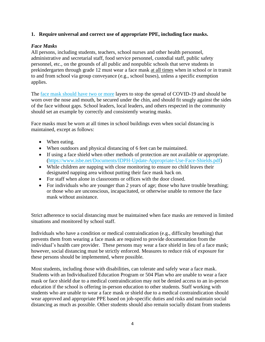## <span id="page-5-0"></span>**1. Require universal and correct use of appropriate PPE, including face masks.**

# *Face Masks*

All persons, including students, teachers, school nurses and other health personnel, administrative and secretarial staff, food service personnel, custodial staff, public safety personnel, etc., on the grounds of all public and nonpublic schools that serve students in prekindergarten through grade 12 must wear a face mask at all times when in school or in transit to and from school via group conveyance (e.g., school buses), unless a specific exemption applies.

The <u>face mask should have two or more</u> layers to stop the spread of COVID-19 and should be worn over the nose and mouth, be secured under the chin, and should fit snugly against the sides of the face without gaps. School leaders, local leaders, and others respected in the community should set an example by correctly and consistently wearing masks.

Face masks must be worn at all times in school buildings even when social distancing is maintained, except as follows:

- When eating.
- When outdoors and physical distancing of 6 feet can be maintained.
- If using a face shield when other methods of protection are not available or appropriate. [\(https://www.isbe.net/Documents/IDPH-Update-Appropriate-Use-Face-Shields.pdf\)](https://www.isbe.net/Documents/IDPH-Update-Appropriate-Use-Face-Shields.pdf)
- While children are napping with close monitoring to ensure no child leaves their designated napping area without putting their face mask back on.
- For staff when alone in classrooms or offices with the door closed.
- For individuals who are younger than 2 years of age; those who have trouble breathing; or those who are unconscious, incapacitated, or otherwise unable to remove the face mask without assistance.

Strict adherence to social distancing must be maintained when face masks are removed in limited situations and monitored by school staff.

Individuals who have a condition or medical contraindication (e.g., difficulty breathing) that prevents them from wearing a face mask are required to provide documentation from the individual's health care provider. These persons may wear a face shield in lieu of a face mask; however, social distancing must be strictly enforced. Measures to reduce risk of exposure for these persons should be implemented, where possible.

Most students, including those with disabilities, can tolerate and safely wear a face mask. Students with an Individualized Education Program or 504 Plan who are unable to wear a face mask or face shield due to a medical contraindication may not be denied access to an in-person education if the school is offering in-person education to other students. Staff working with students who are unable to wear a face mask or shield due to a medical contraindication should wear approved and appropriate PPE based on job-specific duties and risks and maintain social distancing as much as possible. Other students should also remain socially distant from students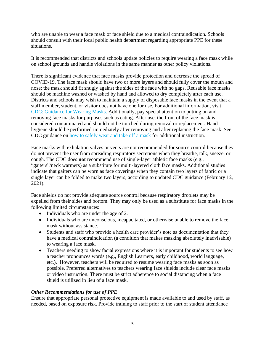who are unable to wear a face mask or face shield due to a medical contraindication. Schools should consult with their local public health department regarding appropriate PPE for these situations.

It is recommended that districts and schools update policies to require wearing a face mask while on school grounds and handle violations in the same manner as other policy violations.

There is significant evidence that face masks provide protection and decrease the spread of COVID-19. The face mask should have two or more layers and should fully cover the mouth and nose; the mask should fit snugly against the sides of the face with no gaps. Reusable face masks should be machine washed or washed by hand and allowed to dry completely after each use. Districts and schools may wish to maintain a supply of disposable face masks in the event that a [staff member, student, or](https://www.cdc.gov/coronavirus/2019-ncov/prevent-getting-sick/diy-cloth-face-coverings.html) [visitor does not have one for use. For a](https://www.cdc.gov/coronavirus/2019-ncov/prevent-getting-sick/diy-cloth-face-coverings.html)dditional information, visit [CDC: Guidance for Wearing Masks.](https://www.cdc.gov/coronavirus/2019-ncov/prevent-getting-sick/cloth-face-cover-guidance.html) Additionally, pay special attention to putting on and removing face masks for purposes such as eating. After use, the front of the face mask is considered contaminated and should not be touched during removal or replacement. Hand hygiene [should be performed immediately after removing a](https://www.cdc.gov/hai/pdfs/ppe/PPE-Sequence.pdf)nd after replacing the face mask. See CDC guidance on [how to safely wear and take off a mask](https://www.cdc.gov/coronavirus/2019-ncov/downloads/cloth-face-covering.pdf) for additional instruction.

Face masks with exhalation valves or vents are not recommended for source control because they do not prevent the user from spreading respiratory secretions when they breathe, talk, sneeze, or cough. The CDC does **not** recommend use of single-layer athletic face masks (e.g., "gaiters"/neck warmers) as a substitute for multi-layered cloth face masks. Additional studies indicate that gaiters can be worn as face coverings when they contain two layers of fabric or a single layer can be folded to make two layers, according to updated CDC guidance (February 12, 2021).

Face shields do not provide adequate source control because respiratory droplets may be expelled from their sides and bottom. They may only be used as a substitute for face masks in the following limited circumstances:

- Individuals who are under the age of 2.
- Individuals who are unconscious, incapacitated, or otherwise unable to remove the face mask without assistance.
- Students and staff who provide a health care provider's note as documentation that they have a medical contraindication (a condition that makes masking absolutely inadvisable) to wearing a face mask.
- Teachers needing to show facial expressions where it is important for students to see how a teacher pronounces words (e.g., English Learners, early childhood, world language, etc.). However, teachers will be required to resume wearing face masks as soon as possible. Preferred alternatives to teachers wearing face shields include clear face masks or video instruction. There must be strict adherence to social distancing when a face shield is utilized in lieu of a face mask.

#### *Other Recommendations for use of PPE*

Ensure that appropriate personal protective equipment is made available to and used by staff, as needed, based on exposure risk. Provide training to staff prior to the start of student attendance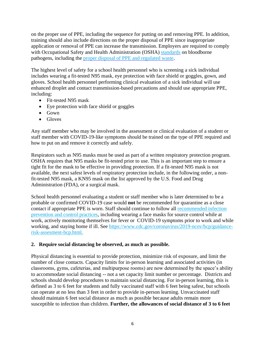<span id="page-7-0"></span>on the proper use of PPE, including the sequence for putting on and removing PPE. In addition, training should also include directions on the proper disposal of PPE since inappropriate application or removal of PPE can increase the transmission. Employers are required to comply with Occupational Safety and Health Administration (OSHA) [standards](https://www.osha.gov/laws-regs/regulations/standardnumber/1910/1910.1030) on bloodborne pathogens, including the [proper disposal of PPE and regulated waste.](https://www.osha.gov/laws-regs/regulations/standardnumber/1910/1910.132)

The highest level of safety for a school health personnel who is screening a sick individual includes wearing a fit-tested N95 mask, eye protection with face shield or goggles, gown, and gloves. School health personnel performing clinical evaluation of a sick individual will use enhanced droplet and contact transmission-based precautions and should use appropriate PPE, including:

- Fit-tested N95 mask
- Eye protection with face shield or goggles
- Gown
- Gloves

Any staff member who may be involved in the assessment or clinical evaluation of a student or staff member with COVID-19-like symptoms should be trained on the type of PPE required and how to put on and remove it correctly and safely.

Respirators such as N95 masks must be used as part of a written respiratory protection program. OSHA requires that N95 masks be fit-tested prior to use. This is an important step to ensure a tight fit for the mask to be effective in providing protection. If a fit-tested N95 mask is not available, the next safest levels of respiratory protection include, in the following order, a nonfit-tested N95 mask, a KN95 mask on the list approved by the U.S. Food and Drug Administration (FDA), or a surgical mask.

School health personnel evaluating a student or staff member who is later determined to be a probable or confirmed COVID-19 case would **not** be recommended for quarantine as a close contact if appropriate PPE is worn. Staff should continue to follow all [recommended infection](https://www.cdc.gov/coronavirus/2019-ncov/hcp/infection-control-recommendations.html)  [prevention and control practices,](https://www.cdc.gov/coronavirus/2019-ncov/hcp/infection-control-recommendations.html) including wearing a face masks for source control while at work, actively monitoring themselves for fever or COVID-19 symptoms prior to work and while working, and staying home if ill. See [https://www.cdc.gov/coronavirus/2019-ncov/hcp/guidance](https://www.cdc.gov/coronavirus/2019-ncov/hcp/guidance-risk-assesment-hcp.html)[risk-assesment-hcp.html.](https://www.cdc.gov/coronavirus/2019-ncov/hcp/guidance-risk-assesment-hcp.html)

## **2. Require social distancing be observed, as much as possible.**

Physical distancing is essential to provide protection, minimize risk of exposure, and limit the number of close contacts. Capacity limits for in-person learning and associated activities (in classrooms, gyms, cafeterias, and multipurpose rooms) are now determined by the space's ability to accommodate social distancing -- not a set capacity limit number or percentage. Districts and schools should develop procedures to maintain social distancing. For in-person learning, this is defined as 3 to 6 feet for students and fully vaccinated staff with 6 feet being safest, but schools can operate at no less than 3 feet in order to provide in-person learning. Unvaccinated staff should maintain 6 feet social distance as much as possible because adults remain more susceptible to infection than children. **Further, the allowances of social distance of 3 to 6 feet**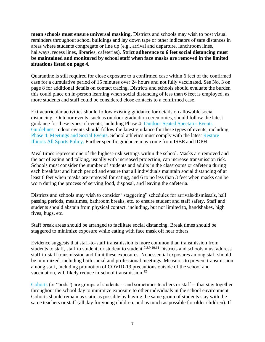**mean schools must ensure universal masking.** Districts and schools may wish to post visual reminders throughout school buildings and lay down tape or other indicators of safe distances in areas where students congregate or line up (e.g., arrival and departure, lunchroom lines, hallways, recess lines, libraries, cafeterias). **Strict adherence to 6 feet social distancing must be maintained and monitored by school staff when face masks are removed in the limited situations listed on page 4.**

Quarantine is still required for close exposure to a confirmed case within 6 feet of the confirmed case for a cumulative period of 15 minutes over 24 hours and not fully vaccinated. See No. 3 on page 8 for additional details on contact tracing. Districts and schools should evaluate the burden this could place on in-person learning when social distancing of less than 6 feet is employed, as more students and staff could be considered close contacts to a confirmed case.

Extracurricular activities should follow existing guidance for details on allowable social distancing. Outdoor events, such as outdoor graduation ceremonies, should follow the latest guidance for these types of events, including Phase 4: [Outdoor Seated Spectator Events](http://dph.illinois.gov/countyschool?county=Henry)  [Guidelines.](http://dph.illinois.gov/countyschool?county=Henry) Indoor events should follow the latest guidance for these types of events, including Phase 4: [Meetings and Social Events.](http://dph.illinois.gov/countyschool?county=Henry) School athletics must comply with the latest [Restore](https://dph.illinois.gov/sites/default/files/All%20Sports%20Policy%20-%20Updated%202_5.pdf)  [Illinois All Sports Policy.](https://dph.illinois.gov/sites/default/files/All%20Sports%20Policy%20-%20Updated%202_5.pdf) Further specific guidance may come from ISBE and IDPH.

Meal times represent one of the highest-risk settings within the school. Masks are removed and the act of eating and talking, usually with increased projection, can increase transmission risk. Schools must consider the number of students and adults in the classrooms or cafeteria during each breakfast and lunch period and ensure that all individuals maintain social distancing of at least 6 feet when masks are removed for eating, and 6 to no less than 3 feet when masks can be worn during the process of serving food, disposal, and leaving the cafeteria.

Districts and schools may wish to consider "staggering" schedules for arrivals/dismissals, hall passing periods, mealtimes, bathroom breaks, etc. to ensure student and staff safety. Staff and students should abstain from physical contact, including, but not limited to, handshakes, high fives, hugs, etc.

Staff break areas should be arranged to facilitate social distancing. Break times should be staggered to minimize exposure while eating with face mask off near others.

Evidence suggests that staff-to-staff transmission is more common than transmission from students to staff, staff to student, or student to student.<sup>7,8,9,10,11</sup> Districts and schools must address staff-to-staff transmission and limit these exposures. Nonessential exposures among staff should be minimized, including both social and professional meetings. Measures to prevent transmission among staff, including promotion of COVID-19 precautions outside of the school and vaccination, will likely reduce in-school transmission.<sup>12</sup>

[Cohorts](https://www.cdc.gov/coronavirus/2019-ncov/community/schools-childcare/schools-faq.html) (or "pods") are groups of students -- and sometimes teachers or staff -- that stay together throughout the school day to minimize exposure to other individuals in the school environment. Cohorts should remain as static as possible by having the same group of students stay with the same teachers or staff (all day for young children, and as much as possible for older children). If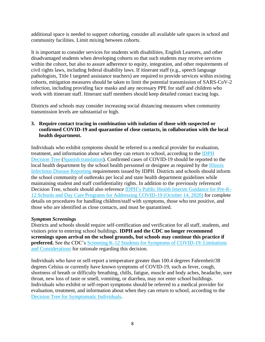<span id="page-9-0"></span>additional space is needed to support cohorting, consider all available safe spaces in school and community facilities. Limit mixing between cohorts.

It is important to consider services for students with disabilities, English Learners, and other disadvantaged students when developing cohorts so that such students may receive services within the cohort, but also to assure adherence to equity, integration, and other requirements of civil rights laws, including federal disability laws. If itinerant staff (e.g., speech language pathologists, Title I targeted assistance teachers) are required to provide services within existing cohorts, mitigation measures should be taken to limit the potential transmission of SARS-CoV-2 infection, including providing face masks and any necessary PPE for staff and children who work with itinerant staff. Itinerant staff members should keep detailed contact tracing logs.

Districts and schools may consider increasing social distancing measures when community transmission levels are substantial or high.

## **3. Require contact tracing in combination with isolation of those with suspected or confirmed COVID-19 and quarantine of close contacts, in collaboration with the local health department.**

Individuals who exhibit symptoms should be referred to a medical provider for evaluation, treatment, and information about when they can return to school, according to the [IDPH](https://www.isbe.net/Documents/IDPH-COVID19-Exclusion-Decison-Tree.pdf)  [Decision Tree](file:///C:/Users/isbe/AppData/Local/Microsoft/Windows/INetCache/IE/KKDWP1F7/IDPH-COVID19-Exclusion-Decison-Tree.pdf) [\(Spanish translation\)](https://www.dph.illinois.gov/sites/default/files/COVID19/COVID-19%20EXCLUSION%20GUIDANCE%20decis%20treeUpdate142021Spanish.pdf). Confirmed cases of COVID-19 should be reported to the local health department by the school health personnel or designee as required by the [Illinois](ftp://www.ilga.gov/JCAR/AdminCode/077/077006900C02000R.html)  [Infectious Disease Reporting](ftp://www.ilga.gov/JCAR/AdminCode/077/077006900C02000R.html) requirements issued by IDPH. Districts and schools should inform the school community of outbreaks per local and state health department guidelines while maintaining student and staff confidentiality rights. In addition to the previously referenced Decision Tree, schools should also reference IDPH's [Public Health Interim Guidance for Pre-K-](https://www.dph.illinois.gov/sites/default/files/School.Daycare%20Guidance%20COVID%20Cases%20ContactsUpdate10.14.2020.pdf)[12 Schools and Day Care Programs for Addressing COVID-19 \(October 14, 2020\)](https://www.dph.illinois.gov/sites/default/files/School.Daycare%20Guidance%20COVID%20Cases%20ContactsUpdate10.14.2020.pdf) for complete details on procedures for handling children/staff with symptoms, those who test positive, and those who are identified as close contacts, and must be quarantined.

## *Symptom Screenings*

Districts and schools should require self-certification and verification for all staff, students, and visitors prior to entering school buildings. **IDPH and the CDC no longer recommend screenings upon arrival on the school grounds, but schools may continue this practice if preferred.** See the CDC's Screening K-12 Students for Symptoms of COVID-19: Limitations [and Considerations](https://www.cdc.gov/coronavirus/2019-ncov/community/schools-childcare/symptom-screening.html) for rationale regarding this decision.

Individuals who have or self-report a temperature greater than 100.4 degrees Fahrenheit/38 degrees Celsius or currently have known symptoms of COVID-19, such as fever, cough, shortness of breath or difficulty breathing, chills, fatigue, muscle and body aches, headache, sore throat, new loss of taste or smell, vomiting, or diarrhea, may not enter school buildings. Individuals who exhibit or self-report symptoms should be referred to a medical provider for evaluation, treatment, and information about when they can return to school, according to the [Decision Tree for Symptomatic Individuals.](https://www.isbe.net/Documents/IDPH-COVID19-Exclusion-Decison-Tree.pdf)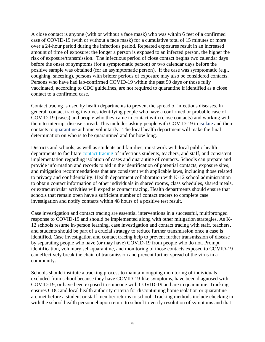A close contact is anyone (with or without a face mask) who was within 6 feet of a confirmed case of COVID-19 (with or without a face mask) for a cumulative total of 15 minutes or more over a 24-hour period during the infectious period. Repeated exposures result in an increased amount of time of exposure; the longer a person is exposed to an infected person, the higher the risk of exposure/transmission. The infectious period of close contact begins two calendar days before the onset of symptoms (for a symptomatic person) or two calendar days before the positive sample was obtained (for an asymptomatic person). If the case was symptomatic (e.g., coughing, sneezing), persons with briefer periods of exposure may also be considered contacts. Persons who have had lab-confirmed COVID-19 within the past 90 days or those fully vaccinated, according to CDC guidelines, are not required to quarantine if identified as a close contact to a confirmed case.

Contact tracing is used by health departments to prevent the spread of infectious diseases. In general, contact tracing involves identifying people who have a confirmed or probable case of COVID-19 (cases) and people who they came in contact with (close contacts) and working with them to interrupt disease spread. This includes asking people with COVID-19 to [isolate](https://www.cdc.gov/coronavirus/2019-ncov/if-you-are-sick/quarantine.html) and their contacts to [quarantine](https://www.cdc.gov/coronavirus/2019-ncov/if-you-are-sick/quarantine.html) at home voluntarily. The local health department will make the final determination on who is to be quarantined and for how long.

Districts and schools, as well as students and families, must work with local public health departments to facilitate [contact tracing](https://www.cdc.gov/coronavirus/2019-ncov/php/open-america/contact-tracing-resources.html) of infectious students, teachers, and staff, and consistent implementation regarding isolation of cases and quarantine of contacts. Schools can prepare and provide information and records to aid in the identification of potential contacts, exposure sites, and mitigation recommendations that are consistent with applicable laws, including those related to privacy and confidentiality. Health department collaboration with K-12 school administration to obtain contact information of other individuals in shared rooms, class schedules, shared meals, or extracurricular activities will expedite contact tracing. Health departments should ensure that schools that remain open have a sufficient number of contact tracers to complete case investigation and notify contacts within 48 hours of a positive test result.

Case investigation and contact tracing are essential interventions in a successful, multipronged response to COVID-19 and should be implemented along with other mitigation strategies. As K-12 schools resume in-person learning, case investigation and contact tracing with staff, teachers, and students should be part of a crucial strategy to reduce further transmission once a case is identified. Case investigation and contact tracing help to prevent further transmission of disease by separating people who have (or may have) COVID-19 from people who do not. Prompt identification, voluntary self-quarantine, and monitoring of those contacts exposed to COVID-19 can effectively break the chain of transmission and prevent further spread of the virus in a community.

Schools should institute a tracking process to maintain ongoing monitoring of individuals excluded from school because they have COVID-19-like symptoms, have been diagnosed with COVID-19, or have been exposed to someone with COVID-19 and are in quarantine. Tracking ensures CDC and local health authority criteria for discontinuing home isolation or quarantine are met before a student or staff member returns to school. Tracking methods include checking in with the school health personnel upon return to school to verify resolution of symptoms and that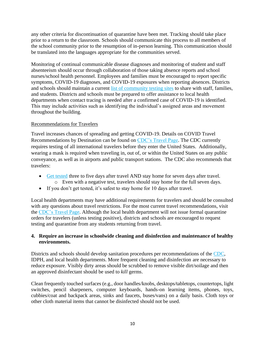<span id="page-11-0"></span>any other criteria for discontinuation of quarantine have been met. Tracking should take place prior to a return to the classroom. Schools should communicate this process to all members of the school community prior to the resumption of in-person learning. This communication should be translated into the languages appropriate for the communities served.

Monitoring of continual communicable disease diagnoses and monitoring of student and staff absenteeism should occur through collaboration of those taking absence reports and school nurses/school health personnel. Employees and families must be encouraged to report specific symptoms, COVID-19 diagnoses, and COVID-19 exposures when reporting absences. Districts and schools should maintain a current [list of community testing sites](http://www.dph.illinois.gov/testing) to share with staff, families, and students. Districts and schools must be prepared to offer assistance to local health departments when contact tracing is needed after a confirmed case of COVID-19 is identified. This may include activities such as identifying the individual's assigned areas and movement throughout the building.

## Recommendations for Travelers

Travel increases chances of spreading and getting COVID-19. Details on COVID Travel Recommendations by Destination can be found on [CDC's Travel Page.](https://www.cdc.gov/coronavirus/2019-ncov/travelers/map-and-travel-notices.html) The CDC currently requires testing of all international travelers before they enter the United States. Additionally, wearing a mask is required when traveling in, out of, or within the United States on any public conveyance, as well as in airports and public transport stations. The CDC also recommends that travelers:

- [Get tested](https://www.cdc.gov/coronavirus/2019-ncov/travelers/testing-air-travel.html) three to five days after travel AND stay home for seven days after travel.
	- o Even with a negative test, travelers should stay home for the full seven days.
- If you don't get tested, it's safest to stay home for 10 days after travel.

Local health departments may have additional requirements for travelers and should be consulted with any questions about travel restrictions. For the most current travel recommendations, visit the [CDC's Travel Page.](https://www.cdc.gov/coronavirus/2019-ncov/travelers/map-and-travel-notices.html) Although the local health department will not issue formal quarantine orders for travelers (unless testing positive), districts and schools are encouraged to request testing and quarantine from any students returning from travel.

## **4. Require an increase in schoolwide cleaning and disinfection and maintenance of healthy environments.**

Districts and schools should develop sanitation procedures per recommendations of the [CDC,](https://www.cdc.gov/coronavirus/2019-ncov/community/schools-childcare/clean-disinfect-hygiene.html) IDPH, and local health departments. More frequent cleaning and disinfection are necessary to reduce exposure. Visibly dirty areas should be scrubbed to remove visible dirt/soilage and then an approved disinfectant should be used to *kill* germs.

Clean frequently touched surfaces (e.g., door handles/knobs, desktops/tabletops, countertops, light switches, pencil sharpeners, computer keyboards, hands-on learning items, phones, toys, cubbies/coat and backpack areas, sinks and faucets, buses/vans) on a daily basis. Cloth toys or other cloth material items that cannot be disinfected should not be used.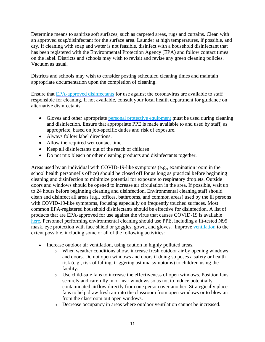Determine means to sanitize soft surfaces, such as carpeted areas, rugs and curtains. Clean with an approved soap/disinfectant for the surface area. Launder at high temperatures, if possible, and dry. If cleaning with soap and water is not feasible, disinfect with a household disinfectant that has been registered with the Environmental Protection Agency (EPA) and follow contact times on the label. Districts and schools may wish to revisit and revise any green cleaning policies. Vacuum as usual.

Districts and schools may wish to consider posting scheduled cleaning times and maintain appropriate documentation upon the completion of cleaning.

Ensure that [EPA-approved disinfectants](https://www.epa.gov/pesticide-registration/list-n-disinfectants-use-against-sars-cov-2) for use against the coronavirus are available to staff responsible for cleaning. If not available, consult your local health department for guidance on alternative disinfectants.

- Gloves and other appropriate [personal protective equipment](https://www.osha.gov/SLTC/covid-19/controlprevention.html#health) must be used during cleaning and disinfection. Ensure that appropriate PPE is made available to and used by staff, as appropriate, based on job-specific duties and risk of exposure.
- Always follow label directions.
- Allow the required wet contact time.
- Keep all disinfectants out of the reach of children.
- Do not mix bleach or other cleaning products and disinfectants together.

Areas used by an individual with COVID-19-like symptoms (e.g., examination room in the school health personnel's office) should be closed off for as long as practical before beginning cleaning and disinfection to minimize potential for exposure to respiratory droplets. Outside doors and windows should be opened to increase air circulation in the area. If possible, wait up to 24 hours before beginning cleaning and disinfection. Environmental cleaning staff should clean and disinfect all areas (e.g., offices, bathrooms, and common areas) used by the ill persons with COVID-19-like symptoms, focusing especially on frequently touched surfaces. Most common EPA-registered household disinfectants should be effective for disinfection. A list of products that are EPA-approved for use against the virus that causes COVID-19 is available [here.](https://www.epa.gov/pesticide-registration/list-n-disinfectants-use-against-sars-cov-2) Personnel performing environmental cleaning should use PPE, including a fit-tested N95 mask, eye protection with face shield or goggles, gown, and gloves. Improve [ventilation](https://www.cdc.gov/coronavirus/2019-ncov/community/ventilation.html) to the extent possible, including some or all of the following activities:

- Increase outdoor air ventilation, using caution in highly polluted areas.
	- o When weather conditions allow, increase fresh outdoor air by opening windows and doors. Do not open windows and doors if doing so poses a safety or health risk (e.g., risk of falling, triggering asthma symptoms) to children using the facility.
	- o Use child-safe fans to increase the effectiveness of open windows. Position fans securely and carefully in or near windows so as not to induce potentially contaminated airflow directly from one person over another. Strategically place fans to help draw fresh air into the classroom from open windows or to blow air from the classroom out open windows.
	- o Decrease occupancy in areas where outdoor ventilation cannot be increased.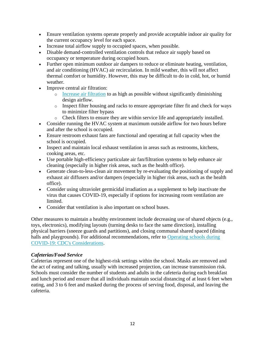- <span id="page-13-0"></span>• Ensure ventilation systems operate properly and provide acceptable indoor air quality for the current occupancy level for each space.
- Increase total airflow supply to occupied spaces, when possible.
- Disable demand-controlled ventilation controls that reduce air supply based on occupancy or temperature during occupied hours.
- Further open minimum outdoor air dampers to reduce or eliminate heating, ventilation, and air conditioning (HVAC) air recirculation. In mild weather, this will not affect thermal comfort or humidity. However, this may be difficult to do in cold, hot, or humid weather.
- Improve central air filtration:
	- o [Increase air filtration](https://www.ashrae.org/technical-resources/filtration-disinfection#mechanical) to as high as possible without significantly diminishing design airflow.
	- o Inspect filter housing and racks to ensure appropriate filter fit and check for ways to minimize filter bypass
	- o Check filters to ensure they are within service life and appropriately installed.
- Consider running the HVAC system at maximum outside airflow for two hours before and after the school is occupied.
- Ensure restroom exhaust fans are functional and operating at full capacity when the school is occupied.
- Inspect and maintain local exhaust ventilation in areas such as restrooms, kitchens, cooking areas, etc.
- Use portable high-efficiency particulate air fan/filtration systems to help enhance air cleaning (especially in higher risk areas, such as the health office).
- Generate clean-to-less-clean air movement by re-evaluating the positioning of supply and exhaust air diffusers and/or dampers (especially in higher risk areas, such as the health office).
- Consider using ultraviolet germicidal irradiation as a supplement to help inactivate the virus that causes COVID-19, especially if options for increasing room ventilation are limited.
- Consider that ventilation is also important on school buses.

Other measures to maintain a healthy environment include decreasing use of shared objects (e.g., toys, electronics), modifying layouts (turning desks to face the same direction), installing physical barriers (sneeze guards and partitions), and closing communal shared spaced (dining halls and playgrounds). For additional recommendations, refer to Operating schools during [COVID-19: CDC's Considerations.](https://www.cdc.gov/coronavirus/2019-ncov/community/schools-childcare/schools.html)

## *Cafeterias/Food Service*

Cafeterias represent one of the highest-risk settings within the school. Masks are removed and the act of eating and talking, usually with increased projection, can increase transmission risk. Schools must consider the number of students and adults in the cafeteria during each breakfast and lunch period and ensure that all individuals maintain social distancing of at least 6 feet when eating, and 3 to 6 feet and masked during the process of serving food, disposal, and leaving the cafeteria.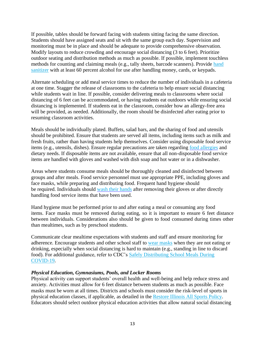<span id="page-14-0"></span>If possible, tables should be forward facing with students sitting facing the same direction. Students should have assigned seats and sit with the same group each day. Supervision and monitoring must be in place and should be adequate to provide comprehensive observation. Modify layouts to reduce crowding and encourage social distancing (3 to 6 feet). Prioritize outdoor seating and distribution methods as much as possible. If possible, implement touchless methods for counting and claiming meals (e.g., tally sheets, barcode scanners). Provide [hand](https://www.cdc.gov/coronavirus/2019-ncov/prevent-getting-sick/hand-sanitizer.html)  [sanitizer](https://www.cdc.gov/coronavirus/2019-ncov/prevent-getting-sick/hand-sanitizer.html) with at least 60 percent alcohol for use after handling money, cards, or keypads.

Alternate scheduling or add meal service times to reduce the number of individuals in a cafeteria at one time. Stagger the release of classrooms to the cafeteria to help ensure social distancing while students wait in line. If possible, consider delivering meals to classrooms where social distancing of 6 feet can be accommodated, or having students eat outdoors while ensuring social distancing is implemented. If students eat in the classroom, consider how an allergy-free area will be provided, as needed. Additionally, the room should be disinfected after eating prior to resuming classroom activities.

Meals should be individually plated. Buffets, salad bars, and the sharing of food and utensils should be prohibited. Ensure that students are served all items, including items such as milk and fresh fruits, rather than having students help themselves. Consider using disposable food service items (e.g., utensils, dishes). Ensure regular precautions are taken regarding [food allergies](https://www.cdc.gov/healthyschools/foodallergies/pdf/13_243135_A_Food_Allergy_Web_508.pdf) and dietary needs. If disposable items are not available, ensure that all non-disposable food service items are handled with gloves and washed with dish soap and hot water or in a dishwasher.

Areas where students consume meals should be thoroughly cleaned and disinfected between groups and after meals. Food service personnel must use appropriate PPE, including gloves and face masks, while preparing and distributing food. Frequent hand hygiene should be required. Individuals should [wash their hands](https://www.cdc.gov/handwashing/when-how-handwashing.html) after removing their gloves or after directly handling food service items that have been used.

Hand hygiene must be performed prior to and after eating a meal or consuming any food items. Face masks must be removed during eating, so it is important to ensure 6 feet distance between individuals. Considerations also should be given to food consumed during times other than mealtimes, such as by preschool students.

Communicate clear mealtime expectations with students and staff and ensure monitoring for adherence. Encourage students and other school staff to [wear masks](https://www.cdc.gov/coronavirus/2019-ncov/community/schools-childcare/cloth-face-cover.html) when they are not eating or drinking, especially when social distancing is hard to maintain (e.g., standing in line to discard food). For additional guidance, refer to CDC's [Safely Distributing School Meals During](https://www.cdc.gov/coronavirus/2019-ncov/community/schools-childcare/safely-distributing-meals.html#classroom) [COVID-19.](https://www.cdc.gov/coronavirus/2019-ncov/community/schools-childcare/safely-distributing-meals.html#classroom)

#### *Physical Education, Gymnasiums, Pools, and Locker Rooms*

Physical activity can support students' overall health and well-being and help reduce stress and anxiety. Activities must allow for 6 feet distance between students as much as possible. Face masks must be worn at all times. Districts and schools must consider the risk-level of sports in physical education classes, if applicable, as detailed in the [Restore Illinois All](https://dph.illinois.gov/sites/default/files/All%20Sports%20Policy%20-%20Updated%202_5.pdf) Sports Policy. Educators should select outdoor physical education activities that allow natural social distancing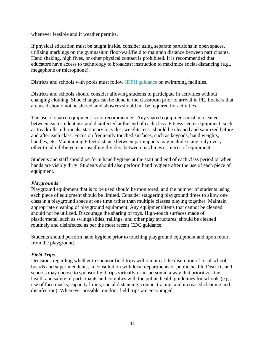<span id="page-15-0"></span>whenever feasible and if weather permits.

If physical education must be taught inside, consider using separate partitions in open spaces, utilizing markings on the gymnasium floor/wall/field to maintain distance between participants. Hand shaking, high fives, or other physical contact is prohibited. It is recommended that educators have access to technology to broadcast instruction to maximize social distancing (e.g., megaphone or microphone).

Districts and schools with pools must follow [IDPH guidance](https://www.dph.illinois.gov/covid19/community-guidance/swimming-facility-guidelines) on swimming facilities.

Districts and schools should consider allowing students to participate in activities without changing clothing. Shoe changes can be done in the classroom prior to arrival in PE. Lockers that are used should not be shared, and showers should not be required for activities.

The use of shared equipment is not recommended. Any shared equipment must be cleaned between each student use and disinfected at the end of each class. Fitness center equipment, such as treadmills, ellipticals, stationary bicycles, weights, etc., should be cleaned and sanitized before and after each class. Focus on frequently touched surfaces, such as keypads, hand weights, handles, etc. Maintaining 6 feet distance between participants may include using only every other treadmill/bicycle or installing dividers between machines or pieces of equipment.

Students and staff should perform hand hygiene at the start and end of each class period or when hands are visibly dirty. Students should also perform hand hygiene after the use of each piece of equipment.

## *Playgrounds*

Playground equipment that is to be used should be monitored, and the number of students using each piece of equipment should be limited. Consider staggering playground times to allow one class in a playground space at one time rather than multiple classes playing together. Maintain appropriate cleaning of playground equipment. Any equipment/items that cannot be cleaned should not be utilized. Discourage the sharing of toys. High-touch surfaces made of plastic/metal, such as swings/slides, railings, and other play structures, should be cleaned routinely and disinfected as per the most recent [CDC guidance.](https://www.cdc.gov/coronavirus/2019-ncov/downloads/php/CDC-Activities-Initiatives-for-COVID-19-Response.pdf?CDC_AA_refVal=https%3A%2F%2Fwww.cdc.gov%2Fcoronavirus%2F2019-ncov%2Fdownloads%2Fphp%2Fcdc-activates-initiatives.html)

Students should perform hand hygiene prior to touching playground equipment and upon return from the playground.

## *Field Trips*

Decisions regarding whether to sponsor field trips will remain at the discretion of local school boards and superintendents, in consultation with local departments of public health. Districts and schools may choose to sponsor field trips virtually or in-person in a way that prioritizes the health and safety of participants and complies with the public health guidelines for schools (e.g., use of face masks, capacity limits, social distancing, contact tracing, and increased cleaning and disinfection). Whenever possible, outdoor field trips are encouraged.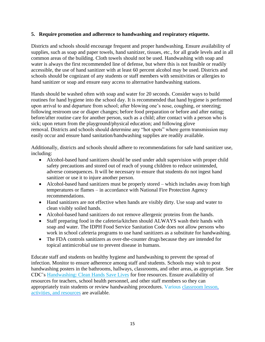#### <span id="page-16-0"></span>**5. Require promotion and adherence to handwashing and respiratory etiquette.**

Districts and schools should encourage frequent and proper handwashing. Ensure availability of supplies, such as soap and paper towels, hand sanitizer, tissues, etc., for all grade levels and in all common areas of the building. Cloth towels should not be used. Handwashing with soap and water is always the first recommended line of defense, but where this is not feasible or readily accessible, the use of hand sanitizer with at least 60 percent alcohol may be used. Districts and schools should be cognizant of any students or staff members with sensitivities or allergies to hand sanitizer or soap and ensure easy access to alternative handwashing stations.

Hands should be washed often with soap and water for 20 seconds. Consider ways to build routines for hand hygiene into the school day. It is recommended that hand hygiene is performed upon arrival to and departure from school; after blowing one's nose, coughing, or sneezing; following restroom use or diaper changes; before food preparation or before and after eating; before/after routine care for another person, such as a child; after contact with a person who is sick; upon return from the playground/physical education; and following glove removal. Districts and schools should determine any "hot spots" where germ transmission may easily occur and ensure hand sanitation/handwashing supplies are readily available.

Additionally, districts and schools should adhere to recommendations for safe hand sanitizer use, including:

- Alcohol-based hand sanitizers should be used under adult supervision with proper child safety precautions and stored out of reach of young children to reduce unintended, adverse consequences. It will be necessary to ensure that students do not ingest hand sanitizer or use it to injure another person.
- Alcohol-based hand sanitizers must be properly stored which includes away from high temperatures or flames – in accordance with National Fire Protection Agency recommendations.
- Hand sanitizers are not effective when hands are visibly dirty. Use soap and water to clean visibly soiled hands.
- Alcohol-based hand sanitizers do not remove allergenic proteins from the hands.
- Staff preparing food in the cafeteria/kitchen should ALWAYS wash their hands with soap and water. The IDPH Food Service Sanitation Code does not allow persons who work in school cafeteria programs to use hand sanitizers as a substitute for handwashing.
- The FDA controls sanitizers as over-the-counter drugs because they are intended for topical antimicrobial use to prevent disease in humans.

Educate staff and students on healthy hygiene and handwashing to prevent the spread of infection. Monitor to ensure adherence among staff and students. Schools may wish to post handwashing posters in the bathrooms, hallways, classrooms, and other areas, as appropriate. See CDC's Handwashing: [Clean Hands Save Lives](https://www.cdc.gov/handwashing/posters.html) for free resources. Ensure availability of resources for teachers, school health personnel, and other staff members so they can appropriately train students or review handwashing procedures. Various [classroom lesson,](https://www.cdc.gov/handwashing/training-education.html)  [activities, and resources](https://www.cdc.gov/handwashing/training-education.html) are available.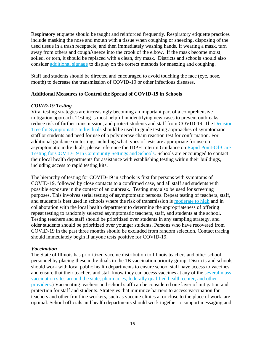<span id="page-17-0"></span>Respiratory etiquette should be taught and reinforced frequently. Respiratory etiquette practices include masking the nose and mouth with a tissue when coughing or sneezing, disposing of the used tissue in a trash receptacle, and then immediately washing hands. If wearing a mask, turn away from others and cough/sneeze into the crook of the elbow. If the mask become moist, soiled, or torn, it should be replaced with a clean, dry mask. Districts and schools should also consider [additional signage](https://www.cdc.gov/coronavirus/2019-ncov/downloads/cover-your-cough_poster.pdf) to display on the correct methods for sneezing and coughing.

Staff and students should be directed and encouraged to avoid touching the face (eye, nose, mouth) to decrease the transmission of COVID-19 or other infectious diseases.

## **Additional Measures to Control the Spread of COVID-19 in Schools**

# *COVID-19 Testing*

Viral testing strategies are increasingly becoming an important part of a comprehensive mitigation approach. Testing is most helpful in identifying new cases to prevent outbreaks, reduce risk of further transmission, and protect students and staff from COVID-19. The [Decision](https://www.isbe.net/Documents/IDPH-COVID19-Exclusion-Decison-Tree.pdf)  [Tree for Symptomatic Individuals](https://www.isbe.net/Documents/IDPH-COVID19-Exclusion-Decison-Tree.pdf) should be used to guide testing approaches of symptomatic staff or students and need for use of a polymerase chain reaction test for confirmation. For additional guidance on testing, including what types of tests are appropriate for use on asymptomatic individuals, please reference the IDPH Interim Guidance on [Rapid Point-Of-Care](https://www.isbe.net/Documents/Guidance-Rapid-POC-Test.pdf)  [Testing for COVID-19 in Community Settings and Schools.](https://www.isbe.net/Documents/Guidance-Rapid-POC-Test.pdf) Schools are encouraged to contact their local health departments for assistance with establishing testing within their buildings, including access to rapid testing kits.

The hierarchy of testing for COVID-19 in schools is first for persons with symptoms of COVID-19, followed by close contacts to a confirmed case, and all staff and students with possible exposure in the context of an outbreak. Testing may also be used for screening purposes. This involves serial testing of asymptomatic persons. Repeat testing of teachers, staff, and students is best used in schools where the risk of transmission is [moderate to high](https://www.cdc.gov/coronavirus/2019-ncov/community/schools-childcare/indicators.html#thresholds) and in collaboration with the local health department to determine the appropriateness of offering repeat testing to randomly selected asymptomatic teachers, staff, and students at the school. Testing teachers and staff should be prioritized over students in any sampling strategy, and older students should be prioritized over younger students. Persons who have recovered from COVID-19 in the past three months should be excluded from random selection. Contact tracing should immediately begin if anyone tests positive for COVID-19.

## *Vaccination*

The State of Illinois has prioritized vaccine distribution to Illinois teachers and other school personnel by placing these individuals in the 1B vaccination priority group. Districts and schools should work with local public health departments to ensure school staff have access to vaccines and ensure that their teachers and staff know they can access vaccines at any of the [several mass](https://illinoisgov.force.com/coronavirus/s/vaccination-location)  [vaccination sites around the state, pharmacies, federally qualified health center,](https://illinoisgov.force.com/coronavirus/s/vaccination-location) and other [providers.](https://illinoisgov.force.com/coronavirus/s/vaccination-location)) Vaccinating teachers and school staff can be considered one layer of mitigation and protection for staff and students. Strategies that minimize barriers to access vaccination for teachers and other frontline workers, such as vaccine clinics at or close to the place of work, are optimal. School officials and health departments should work together to support messaging and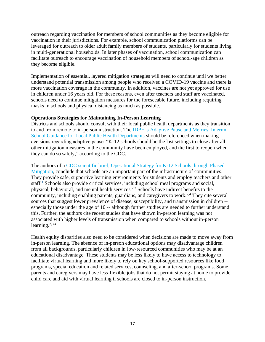<span id="page-18-0"></span>outreach regarding vaccination for members of school communities as they become eligible for vaccination in their jurisdictions. For example, school communication platforms can be leveraged for outreach to older adult family members of students, particularly for students living in multi-generational households. In later phases of vaccination, school communication can facilitate outreach to encourage vaccination of household members of school-age children as they become eligible.

Implementation of essential, layered mitigation strategies will need to continue until we better understand potential transmission among people who received a COVID-19 vaccine and there is more vaccination coverage in the community. In addition, vaccines are not yet approved for use in children under 16 years old. For these reasons, even after teachers and staff are vaccinated, schools need to continue mitigation measures for the foreseeable future, including requiring masks in schools and physical distancing as much as possible.

#### **Operations Strategies for Maintaining In-Person Learning**

Districts and schools should consult with their local public health departments as they transition to and from remote to in-person instruction. The [IDPH's Adaptive Pause and Metrics: Interim](http://www.dph.illinois.gov/covid19/community-guidance/school-guidance)  [School Guidance for Local Public Health Departments](http://www.dph.illinois.gov/covid19/community-guidance/school-guidance) should be referenced when making decisions regarding adaptive pause. "K-12 schools should be the last settings to close after all other mitigation measures in the community have been employed, and the first to reopen when they can do so safely," according to the CDC.

The authors of a [CDC scientific brief,](https://www.cdc.gov/coronavirus/2019-ncov/more/science-and-research/transmission_k_12_schools.html#:~:text=The%20evidence%20to%20date%20suggests,among%20adults%20in%20school%20settings.) [Operational Strategy for K-12 Schools through Phased](https://www.cdc.gov/coronavirus/2019-ncov/community/schools-childcare/operation-strategy.html)  [Mitigation,](https://www.cdc.gov/coronavirus/2019-ncov/community/schools-childcare/operation-strategy.html) conclude that schools are an important part of the infrastructure of communities. They provide safe, supportive learning environments for students and employ teachers and other staff.<sup>[1](https://www.cdc.gov/coronavirus/2019-ncov/more/science-and-research/transmission_k_12_schools.html#ftn-1)</sup> Schools also provide critical services, including school meal programs and social, physical, behavioral, and mental health services.2,3 Schools have indirect benefits to the community, including enabling parents, guardians, and caregivers to work.<sup>2,4</sup> They cite several sources that suggest lower prevalence of disease, susceptibility, and transmission in children - especially those under the age of 10 -- although further studies are needed to further understand this. Further, the authors cite recent studies that have shown in-person learning was not associated with higher levels of transmission when compared to schools without in-person learning. $2,3,4$ 

Health equity disparities also need to be considered when decisions are made to move away from in-person learning. The absence of in-person educational options may disadvantage children from all backgrounds, particularly children in low-resourced communities who may be at an educational disadvantage. These students may be less likely to have access to technology to facilitate virtual learning and more likely to rely on key school-supported resources like food programs, special education and related services, counseling, and after-school programs. Some parents and caregivers may have less-flexible jobs that do not permit staying at home to provide child care and aid with virtual learning if schools are closed to in-person instruction.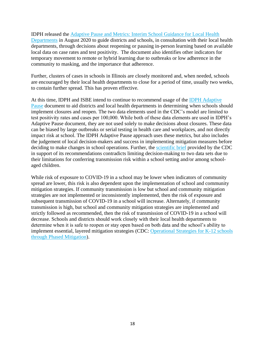IDPH released the [Adaptive Pause and Metrics: Interim School Guidance for Local Health](https://www.isbe.net/Documents/IDPH-Adaptive-Pause-Metrics.pdf)  [Departments](https://www.isbe.net/Documents/IDPH-Adaptive-Pause-Metrics.pdf) in August 2020 to guide districts and schools, in consultation with their local health departments, through decisions about reopening or pausing in-person learning based on available local data on case rates and test positivity. The document also identifies other indicators for temporary movement to remote or hybrid learning due to outbreaks or low adherence in the community to masking, and the importance that adherence.

Further, clusters of cases in schools in Illinois are closely monitored and, when needed, schools are encouraged by their local health departments to close for a period of time, usually two weeks, to contain further spread. This has proven effective.

At this time, IDPH and ISBE intend to continue to recommend usage of the [IDPH Adaptive](http://www.dph.illinois.gov/covid19/community-guidance/school-guidance)  [Pause](file:///C:/Users/isbe/AppData/Local/Microsoft/Windows/INetCache/IE/WP8KER03/IDPH-Adaptive-Pause-Metrics.pdf) document to aid districts and local health departments in determining when schools should implement closures and reopen. The two data elements used in the CDC's model are limited to test positivity rates and cases per 100,000. While both of these data elements are used in IDPH's Adaptive Pause document, they are not used solely to make decisions about closures. These data can be biased by large outbreaks or serial testing in health care and workplaces, and not directly impact risk at school. The IDPH Adaptive Pause approach uses these metrics, but also includes the judgement of local decision-makers and success in implementing mitigation measures before deciding to make changes in school operations. Further, the [scientific brief](https://www.cdc.gov/coronavirus/2019-ncov/symptoms-testing/testing.html) provided by the CDC in support of its recommendations contradicts limiting decision-making to two data sets due to their limitations for conferring transmission risk within a school setting and/or among schoolaged children.

While risk of exposure to COVID-19 in a school may be lower when indicators of community spread are lower, this risk is also dependent upon the implementation of school and community mitigation strategies. If community transmission is low but school and community mitigation strategies are not implemented or inconsistently implemented, then the risk of exposure and subsequent transmission of COVID-19 in a school will increase. Alternately, if community transmission is high, but school and community mitigation strategies are implemented and strictly followed as recommended, then the risk of transmission of COVID-19 in a school will decrease. Schools and districts should work closely with their local health departments to determine when it is safe to reopen or stay open based on both data and the school's ability to implement essential, layered mitigation strategies (CDC: [Operational Strategies for K-12 schools](https://www.cdc.gov/coronavirus/2019-ncov/community/schools-childcare/operation-strategy.html)  [through Phased Mitigation\)](https://www.cdc.gov/coronavirus/2019-ncov/community/schools-childcare/operation-strategy.html).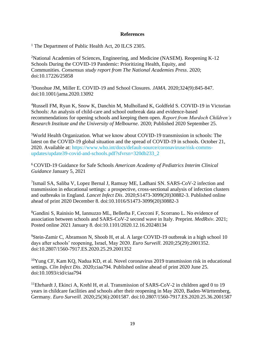#### **References**

<span id="page-20-0"></span><sup>1</sup> The Department of Public Health Act, 20 ILCS 2305.

<sup>2</sup>National Academies of Sciences, Engineering, and Medicine (NASEM). Reopening K-12 Schools During the COVID-19 Pandemic: Prioritizing Health, Equity, and Communities. *Consensus study report from The National Academies Press*. 2020; doi:10.17226/25858

<sup>3</sup>Donohue JM, Miller E. COVID-19 and School Closures. *JAMA*. 2020;324(9):845-847. doi:10.1001/jama.2020.13092

<sup>4</sup>Russell FM, Ryan K, Snow K, Danchin M, Mulholland K, Goldfeld S. COVID-19 in Victorian Schools: An analysis of child-care and school outbreak data and evidence-based recommendations for opening schools and keeping them open. *Report from Murdoch Children's Research Institute and the University of Melbourne*. 2020; Published 2020 September 25.

<sup>5</sup>World Health Organization. What we know about COVID-19 transmission in schools: The latest on the COVID-19 global situation and the spread of COVID-19 in schools. October 21, 2020. Available at: https://www.who.int/docs/default-source/coronaviruse/risk-commsupdates/update39-covid-and-schools.pdf?sfvrsn=320db233\_2

<sup>6</sup>COVID-19 Guidance for Safe Schools *American Academy of Pediatrics Interim Clinical Guidance* January 5, 2021

7 Ismail SA, Saliba V, Lopez Bernal J, Ramsay ME, Ladhani SN. SARS-CoV-2 infection and transmission in educational settings: a prospective, cross-sectional analysis of infection clusters and outbreaks in England. *Lancet Infect Dis*. 2020;S1473-3099(20)30882-3. Published online ahead of print 2020 December 8. doi:10.1016/S1473-3099(20)30882-3

<sup>8</sup>Gandini S, Rainisio M, Iannuzzo ML, Bellerba F, Cecconi F, Scorrano L. No evidence of association between schools and SARS-CoV-2 second wave in Italy. Preprint. *MedRxiv*. 2021; Posted online 2021 January 8. doi:10.1101/2020.12.16.20248134

<sup>9</sup>Stein-Zamir C, Abramson N, Shoob H, et al. A large COVID-19 outbreak in a high school 10 days after schools' reopening, Israel, May 2020. *Euro Surveill*. 2020;25(29):2001352. doi:10.2807/1560-7917.ES.2020.25.29.2001352

<sup>10</sup>Yung CF, Kam KQ, Nadua KD, et al. Novel coronavirus 2019 transmission risk in educational settings. *Clin Infect Dis*. 2020;ciaa794. Published online ahead of print 2020 June 25. doi:10.1093/cid/ciaa794

<sup>11</sup>Ehrhardt J, Ekinci A, Krehl H, et al. Transmission of SARS-CoV-2 in children aged 0 to 19 years in childcare facilities and schools after their reopening in May 2020, Baden-Württemberg, Germany. *Euro Surveill*. 2020;25(36):2001587. doi:10.2807/1560-7917.ES.2020.25.36.2001587